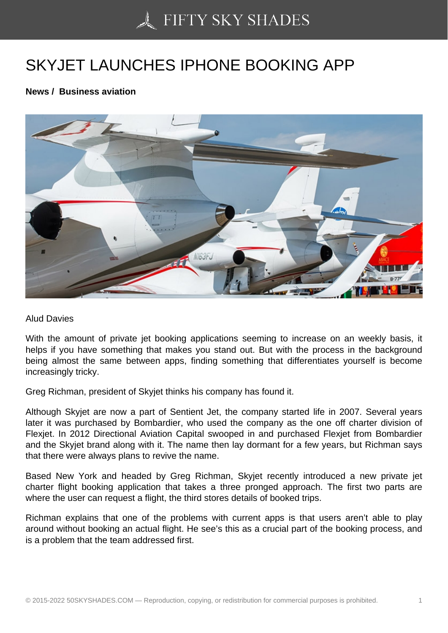## [SKYJET LAUNCHES I](https://50skyshades.com)PHONE BOOKING APP

News / Business aviation

Alud Davies

With the amount of private jet booking applications seeming to increase on an weekly basis, it helps if you have something that makes you stand out. But with the process in the background being almost the same between apps, finding something that differentiates yourself is become increasingly tricky.

Greg Richman, president of Skyjet thinks his company has found it.

Although Skyjet are now a part of Sentient Jet, the company started life in 2007. Several years later it was purchased by Bombardier, who used the company as the one off charter division of Flexjet. In 2012 Directional Aviation Capital swooped in and purchased Flexjet from Bombardier and the Skyjet brand along with it. The name then lay dormant for a few years, but Richman says that there were always plans to revive the name.

Based New York and headed by Greg Richman, Skyjet recently introduced a new private jet charter flight booking application that takes a three pronged approach. The first two parts are where the user can request a flight, the third stores details of booked trips.

Richman explains that one of the problems with current apps is that users aren't able to play around without booking an actual flight. He see's this as a crucial part of the booking process, and is a problem that the team addressed first.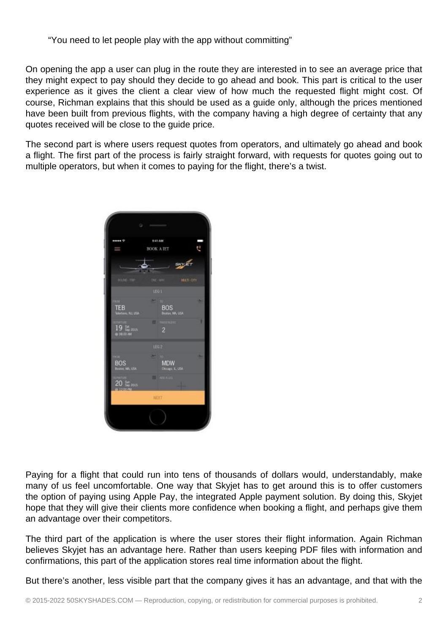"You need to let people play with the app without committing"

On opening the app a user can plug in the route they are interested in to see an average price that they might expect to pay should they decide to go ahead and book. This part is critical to the user experience as it gives the client a clear view of how much the requested flight might cost. Of course, Richman explains that this should be used as a guide only, although the prices mentioned have been built from previous flights, with the company having a high degree of certainty that any quotes received will be close to the guide price.

The second part is where users request quotes from operators, and ultimately go ahead and book a flight. The first part of the process is fairly straight forward, with requests for quotes going out to multiple operators, but when it comes to paying for the flight, there's a twist.



Paying for a flight that could run into tens of thousands of dollars would, understandably, make many of us feel uncomfortable. One way that Skyjet has to get around this is to offer customers the option of paying using Apple Pay, the integrated Apple payment solution. By doing this, Skyjet hope that they will give their clients more confidence when booking a flight, and perhaps give them an advantage over their competitors.

The third part of the application is where the user stores their flight information. Again Richman believes Skyjet has an advantage here. Rather than users keeping PDF files with information and confirmations, this part of the application stores real time information about the flight.

But there's another, less visible part that the company gives it has an advantage, and that with the